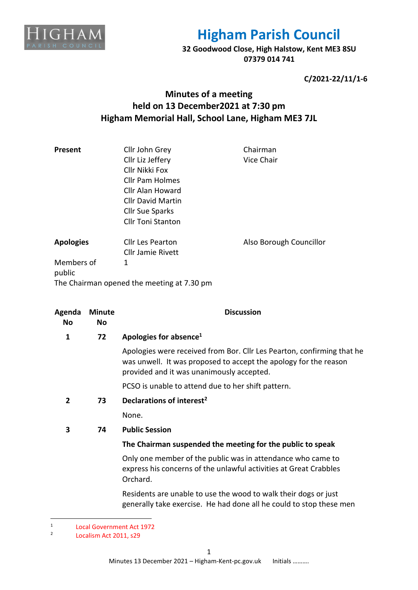

**32 Goodwood Close, High Halstow, Kent ME3 8SU 07379 014 741**

**C/2021-22/11/1-6**

## **Minutes of a meeting held on 13 December2021 at 7:30 pm Higham Memorial Hall, School Lane, Higham ME3 7JL**

| Present              | Cllr John Grey<br>Cllr Liz Jeffery<br>Cllr Nikki Fox<br>Cllr Pam Holmes<br>Cllr Alan Howard<br><b>Cllr David Martin</b><br><b>Cllr Sue Sparks</b><br><b>Cllr Toni Stanton</b> | Chairman<br>Vice Chair  |
|----------------------|-------------------------------------------------------------------------------------------------------------------------------------------------------------------------------|-------------------------|
| <b>Apologies</b>     | Cllr Les Pearton<br><b>Cllr Jamie Rivett</b>                                                                                                                                  | Also Borough Councillor |
| Members of<br>public | 1<br>The Chairman opened the meeting at 7.30 pm                                                                                                                               |                         |

| Agenda<br>No   | <b>Minute</b><br>No | <b>Discussion</b>                                                                                                                                                                       |
|----------------|---------------------|-----------------------------------------------------------------------------------------------------------------------------------------------------------------------------------------|
| 1              | 72                  | Apologies for absence <sup>1</sup>                                                                                                                                                      |
|                |                     | Apologies were received from Bor. Cllr Les Pearton, confirming that he<br>was unwell. It was proposed to accept the apology for the reason<br>provided and it was unanimously accepted. |
|                |                     | PCSO is unable to attend due to her shift pattern.                                                                                                                                      |
| $\overline{2}$ | 73                  | Declarations of interest <sup>2</sup>                                                                                                                                                   |
|                |                     | None.                                                                                                                                                                                   |
| 3              | 74                  | <b>Public Session</b>                                                                                                                                                                   |
|                |                     | The Chairman suspended the meeting for the public to speak                                                                                                                              |
|                |                     | Only one member of the public was in attendance who came to<br>express his concerns of the unlawful activities at Great Crabbles<br>Orchard.                                            |
|                |                     | Residents are unable to use the wood to walk their dogs or just<br>generally take exercise. He had done all he could to stop these men                                                  |
|                |                     |                                                                                                                                                                                         |

<sup>1</sup> Local Government Act 1972

<sup>2</sup> Localism Act 2011, s29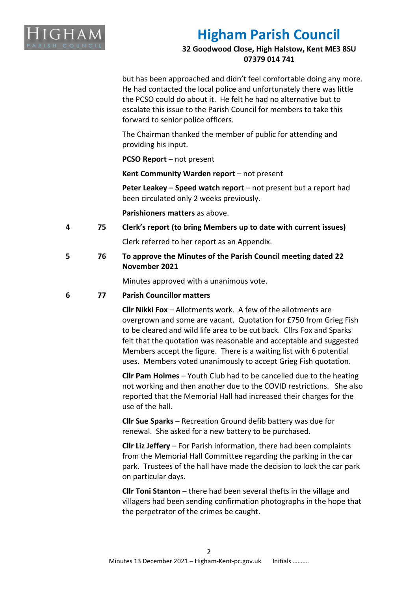

**32 Goodwood Close, High Halstow, Kent ME3 8SU 07379 014 741**

but has been approached and didn't feel comfortable doing any more. He had contacted the local police and unfortunately there was little the PCSO could do about it. He felt he had no alternative but to escalate this issue to the Parish Council for members to take this forward to senior police officers.

The Chairman thanked the member of public for attending and providing his input.

**PCSO Report** – not present

**Kent Community Warden report** – not present

**Peter Leakey – Speed watch report** – not present but a report had been circulated only 2 weeks previously.

**Parishioners matters** as above.

**4 75 Clerk's report (to bring Members up to date with current issues)**

Clerk referred to her report as an Appendix.

**5 76 To approve the Minutes of the Parish Council meeting dated 22 November 2021**

Minutes approved with a unanimous vote.

#### **6 77 Parish Councillor matters**

**Cllr Nikki Fox** – Allotments work. A few of the allotments are overgrown and some are vacant. Quotation for £750 from Grieg Fish to be cleared and wild life area to be cut back. Cllrs Fox and Sparks felt that the quotation was reasonable and acceptable and suggested Members accept the figure. There is a waiting list with 6 potential uses. Members voted unanimously to accept Grieg Fish quotation.

**Cllr Pam Holmes** – Youth Club had to be cancelled due to the heating not working and then another due to the COVID restrictions. She also reported that the Memorial Hall had increased their charges for the use of the hall.

**Cllr Sue Sparks** – Recreation Ground defib battery was due for renewal. She asked for a new battery to be purchased.

**Cllr Liz Jeffery** – For Parish information, there had been complaints from the Memorial Hall Committee regarding the parking in the car park. Trustees of the hall have made the decision to lock the car park on particular days.

**Cllr Toni Stanton** – there had been several thefts in the village and villagers had been sending confirmation photographs in the hope that the perpetrator of the crimes be caught.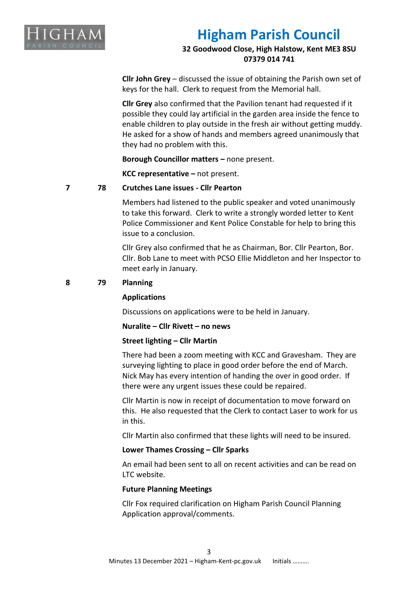

### **32 Goodwood Close, High Halstow, Kent ME3 8SU 07379 014 741**

**Cllr John Grey** – discussed the issue of obtaining the Parish own set of keys for the hall. Clerk to request from the Memorial hall.

**Cllr Grey** also confirmed that the Pavilion tenant had requested if it possible they could lay artificial in the garden area inside the fence to enable children to play outside in the fresh air without getting muddy. He asked for a show of hands and members agreed unanimously that they had no problem with this.

**Borough Councillor matters –** none present.

**KCC representative –** not present.

#### **7 78 Crutches Lane issues - Cllr Pearton**

Members had listened to the public speaker and voted unanimously to take this forward. Clerk to write a strongly worded letter to Kent Police Commissioner and Kent Police Constable for help to bring this issue to a conclusion.

Cllr Grey also confirmed that he as Chairman, Bor. Cllr Pearton, Bor. Cllr. Bob Lane to meet with PCSO Ellie Middleton and her Inspector to meet early in January.

#### **8 79 Planning**

#### **Applications**

Discussions on applications were to be held in January.

**Nuralite – Cllr Rivett – no news**

#### **Street lighting – Cllr Martin**

There had been a zoom meeting with KCC and Gravesham. They are surveying lighting to place in good order before the end of March. Nick May has every intention of handing the over in good order. If there were any urgent issues these could be repaired.

Cllr Martin is now in receipt of documentation to move forward on this. He also requested that the Clerk to contact Laser to work for us in this.

Cllr Martin also confirmed that these lights will need to be insured.

#### **Lower Thames Crossing – Cllr Sparks**

An email had been sent to all on recent activities and can be read on LTC website.

#### **Future Planning Meetings**

Cllr Fox required clarification on Higham Parish Council Planning Application approval/comments.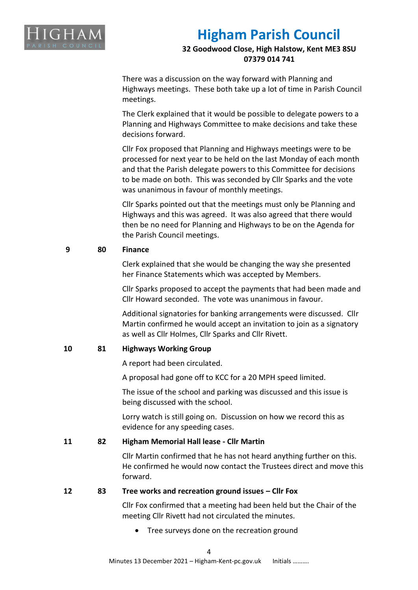

**32 Goodwood Close, High Halstow, Kent ME3 8SU 07379 014 741**

There was a discussion on the way forward with Planning and Highways meetings. These both take up a lot of time in Parish Council meetings.

The Clerk explained that it would be possible to delegate powers to a Planning and Highways Committee to make decisions and take these decisions forward.

Cllr Fox proposed that Planning and Highways meetings were to be processed for next year to be held on the last Monday of each month and that the Parish delegate powers to this Committee for decisions to be made on both. This was seconded by Cllr Sparks and the vote was unanimous in favour of monthly meetings.

Cllr Sparks pointed out that the meetings must only be Planning and Highways and this was agreed. It was also agreed that there would then be no need for Planning and Highways to be on the Agenda for the Parish Council meetings.

### **9 80 Finance**

Clerk explained that she would be changing the way she presented her Finance Statements which was accepted by Members.

Cllr Sparks proposed to accept the payments that had been made and Cllr Howard seconded. The vote was unanimous in favour.

Additional signatories for banking arrangements were discussed. Cllr Martin confirmed he would accept an invitation to join as a signatory as well as Cllr Holmes, Cllr Sparks and Cllr Rivett.

### **10 81 Highways Working Group**

A report had been circulated.

A proposal had gone off to KCC for a 20 MPH speed limited.

The issue of the school and parking was discussed and this issue is being discussed with the school.

Lorry watch is still going on. Discussion on how we record this as evidence for any speeding cases.

### **11 82 Higham Memorial Hall lease - Cllr Martin**

Cllr Martin confirmed that he has not heard anything further on this. He confirmed he would now contact the Trustees direct and move this forward.

#### **12 83 Tree works and recreation ground issues – Cllr Fox**

Cllr Fox confirmed that a meeting had been held but the Chair of the meeting Cllr Rivett had not circulated the minutes.

• Tree surveys done on the recreation ground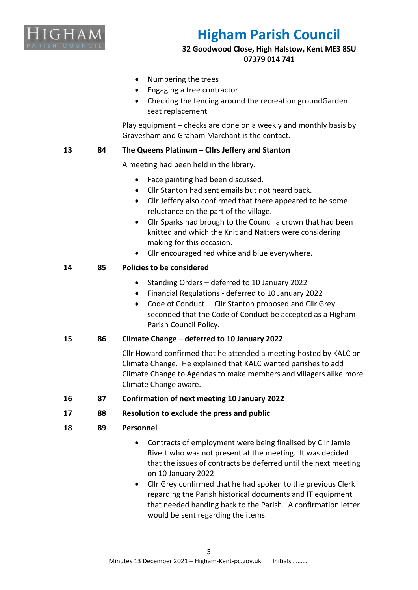

**32 Goodwood Close, High Halstow, Kent ME3 8SU 07379 014 741**

- Numbering the trees
- Engaging a tree contractor
- Checking the fencing around the recreation groundGarden seat replacement

Play equipment – checks are done on a weekly and monthly basis by Gravesham and Graham Marchant is the contact.

### **13 84 The Queens Platinum – Cllrs Jeffery and Stanton**

A meeting had been held in the library.

- Face painting had been discussed.
- Cllr Stanton had sent emails but not heard back.
- Cllr Jeffery also confirmed that there appeared to be some reluctance on the part of the village.
- Cllr Sparks had brough to the Council a crown that had been knitted and which the Knit and Natters were considering making for this occasion.
- Cllr encouraged red white and blue everywhere.

### **14 85 Policies to be considered**

- Standing Orders deferred to 10 January 2022
- Financial Regulations deferred to 10 January 2022
- Code of Conduct Cllr Stanton proposed and Cllr Grey seconded that the Code of Conduct be accepted as a Higham Parish Council Policy.

#### **15 86 Climate Change – deferred to 10 January 2022**

Cllr Howard confirmed that he attended a meeting hosted by KALC on Climate Change. He explained that KALC wanted parishes to add Climate Change to Agendas to make members and villagers alike more Climate Change aware.

- **16 87 Confirmation of next meeting 10 January 2022**
- **17 88 Resolution to exclude the press and public**
- **18 89 Personnel**
	- Contracts of employment were being finalised by Cllr Jamie Rivett who was not present at the meeting. It was decided that the issues of contracts be deferred until the next meeting on 10 January 2022
	- Cllr Grey confirmed that he had spoken to the previous Clerk regarding the Parish historical documents and IT equipment that needed handing back to the Parish. A confirmation letter would be sent regarding the items.